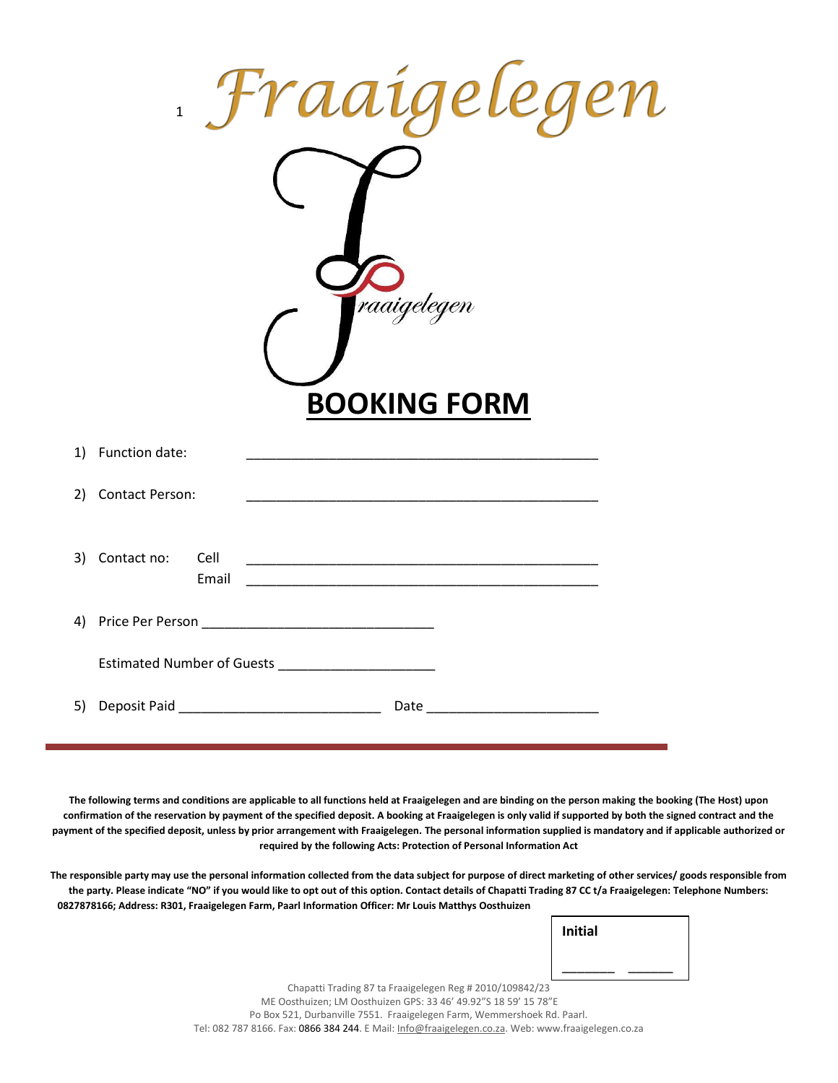| <i>aaigelegen</i><br>$\mathbf{1}$<br><mark>(</mark> raaigelegen |                                                                                                                                                                                                                               |  |  |
|-----------------------------------------------------------------|-------------------------------------------------------------------------------------------------------------------------------------------------------------------------------------------------------------------------------|--|--|
|                                                                 | <b>BOOKING FORM</b>                                                                                                                                                                                                           |  |  |
|                                                                 | 1) Function date:                                                                                                                                                                                                             |  |  |
|                                                                 | 2) Contact Person:                                                                                                                                                                                                            |  |  |
|                                                                 | 3) Contact no: Cell<br>Email                                                                                                                                                                                                  |  |  |
|                                                                 |                                                                                                                                                                                                                               |  |  |
|                                                                 | Estimated Number of Guests _______________________                                                                                                                                                                            |  |  |
|                                                                 | Date Part and the Contract of the Contract of the Contract of the Contract of the Contract of the Contract of the Contract of the Contract of the Contract of the Contract of the Contract of the Contract of the Contract of |  |  |

**The following terms and conditions are applicable to all functions held at Fraaigelegen and are binding on the person making the booking (The Host) upon confirmation of the reservation by payment of the specified deposit. A booking at Fraaigelegen is only valid if supported by both the signed contract and the payment of the specified deposit, unless by prior arrangement with Fraaigelegen. The personal information supplied is mandatory and if applicable authorized or required by the following Acts: Protection of Personal Information Act**

**The responsible party may use the personal information collected from the data subject for purpose of direct marketing of other services/ goods responsible from the party. Please indicate "NO" if you would like to opt out of this option. Contact details of Chapatti Trading 87 CC t/a Fraaigelegen: Telephone Numbers: 0827878166; Address: R301, Fraaigelegen Farm, Paarl Information Officer: Mr Louis Matthys Oosthuizen**

**Initial**

\_\_\_\_\_\_\_ \_\_\_\_\_\_

Chapatti Trading 87 ta Fraaigelegen Reg # 2010/109842/23 ME Oosthuizen; LM Oosthuizen GPS: 33 46' 49.92"S 18 59' 15 78"E Po Box 521, Durbanville 7551. Fraaigelegen Farm, Wemmershoek Rd. Paarl. Tel: 082 787 8166. Fax: 0866 384 244. E Mail[: Info@fraaigelegen.co.za.](mailto:Info@fraaigelegen.co.za) Web: www.fraaigelegen.co.za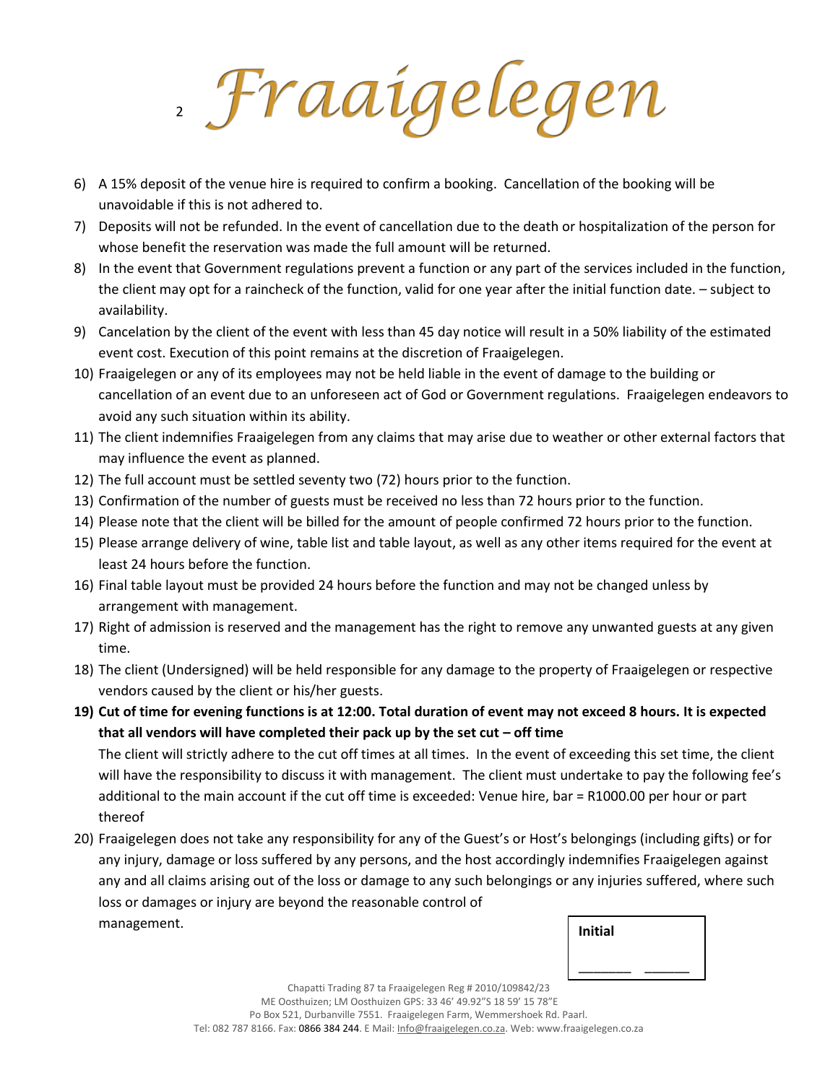*Fraaigelegen* 

- 6) A 15% deposit of the venue hire is required to confirm a booking. Cancellation of the booking will be unavoidable if this is not adhered to.
- 7) Deposits will not be refunded. In the event of cancellation due to the death or hospitalization of the person for whose benefit the reservation was made the full amount will be returned.
- 8) In the event that Government regulations prevent a function or any part of the services included in the function, the client may opt for a raincheck of the function, valid for one year after the initial function date. – subject to availability.
- 9) Cancelation by the client of the event with less than 45 day notice will result in a 50% liability of the estimated event cost. Execution of this point remains at the discretion of Fraaigelegen.
- 10) Fraaigelegen or any of its employees may not be held liable in the event of damage to the building or cancellation of an event due to an unforeseen act of God or Government regulations. Fraaigelegen endeavors to avoid any such situation within its ability.
- 11) The client indemnifies Fraaigelegen from any claims that may arise due to weather or other external factors that may influence the event as planned.
- 12) The full account must be settled seventy two (72) hours prior to the function.
- 13) Confirmation of the number of guests must be received no less than 72 hours prior to the function.
- 14) Please note that the client will be billed for the amount of people confirmed 72 hours prior to the function.
- 15) Please arrange delivery of wine, table list and table layout, as well as any other items required for the event at least 24 hours before the function.
- 16) Final table layout must be provided 24 hours before the function and may not be changed unless by arrangement with management.
- 17) Right of admission is reserved and the management has the right to remove any unwanted guests at any given time.
- 18) The client (Undersigned) will be held responsible for any damage to the property of Fraaigelegen or respective vendors caused by the client or his/her guests.
- **19) Cut of time for evening functions is at 12:00. Total duration of event may not exceed 8 hours. It is expected that all vendors will have completed their pack up by the set cut – off time** The client will strictly adhere to the cut off times at all times. In the event of exceeding this set time, the client will have the responsibility to discuss it with management. The client must undertake to pay the following fee's additional to the main account if the cut off time is exceeded: Venue hire, bar = R1000.00 per hour or part

thereof

20) Fraaigelegen does not take any responsibility for any of the Guest's or Host's belongings (including gifts) or for any injury, damage or loss suffered by any persons, and the host accordingly indemnifies Fraaigelegen against any and all claims arising out of the loss or damage to any such belongings or any injuries suffered, where such loss or damages or injury are beyond the reasonable control of management.

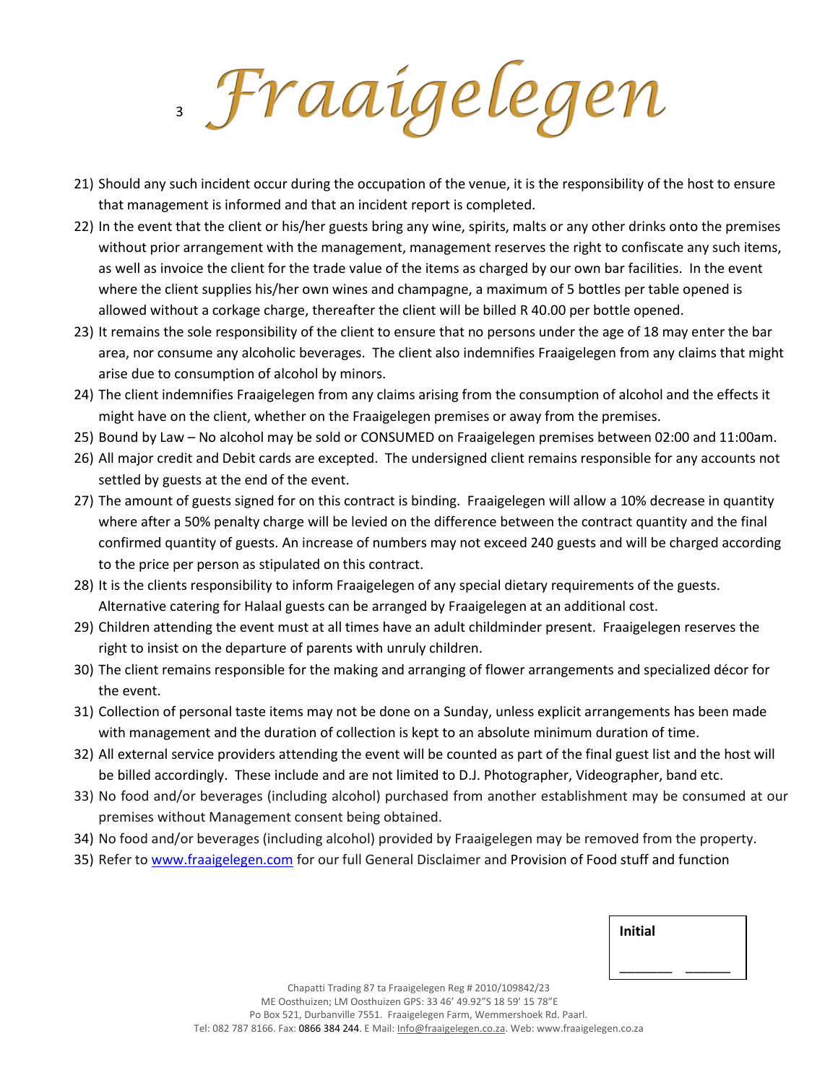Braaigelegen

- 21) Should any such incident occur during the occupation of the venue, it is the responsibility of the host to ensure that management is informed and that an incident report is completed.
- 22) In the event that the client or his/her guests bring any wine, spirits, malts or any other drinks onto the premises without prior arrangement with the management, management reserves the right to confiscate any such items, as well as invoice the client for the trade value of the items as charged by our own bar facilities. In the event where the client supplies his/her own wines and champagne, a maximum of 5 bottles per table opened is allowed without a corkage charge, thereafter the client will be billed R 40.00 per bottle opened.
- 23) It remains the sole responsibility of the client to ensure that no persons under the age of 18 may enter the bar area, nor consume any alcoholic beverages. The client also indemnifies Fraaigelegen from any claims that might arise due to consumption of alcohol by minors.
- 24) The client indemnifies Fraaigelegen from any claims arising from the consumption of alcohol and the effects it might have on the client, whether on the Fraaigelegen premises or away from the premises.
- 25) Bound by Law No alcohol may be sold or CONSUMED on Fraaigelegen premises between 02:00 and 11:00am.
- 26) All major credit and Debit cards are excepted. The undersigned client remains responsible for any accounts not settled by guests at the end of the event.
- 27) The amount of guests signed for on this contract is binding. Fraaigelegen will allow a 10% decrease in quantity where after a 50% penalty charge will be levied on the difference between the contract quantity and the final confirmed quantity of guests. An increase of numbers may not exceed 240 guests and will be charged according to the price per person as stipulated on this contract.
- 28) It is the clients responsibility to inform Fraaigelegen of any special dietary requirements of the guests. Alternative catering for Halaal guests can be arranged by Fraaigelegen at an additional cost.
- 29) Children attending the event must at all times have an adult childminder present. Fraaigelegen reserves the right to insist on the departure of parents with unruly children.
- 30) The client remains responsible for the making and arranging of flower arrangements and specialized décor for the event.
- 31) Collection of personal taste items may not be done on a Sunday, unless explicit arrangements has been made with management and the duration of collection is kept to an absolute minimum duration of time.
- 32) All external service providers attending the event will be counted as part of the final guest list and the host will be billed accordingly. These include and are not limited to D.J. Photographer, Videographer, band etc.
- 33) No food and/or beverages (including alcohol) purchased from another establishment may be consumed at our premises without Management consent being obtained.
- 34) No food and/or beverages (including alcohol) provided by Fraaigelegen may be removed from the property.
- 35) Refer t[o www.fraaigelegen.com](http://www.fraaigelegen.com/) for our full General Disclaimer and Provision of Food stuff and function

| <b>Initial</b> |  |
|----------------|--|
|                |  |